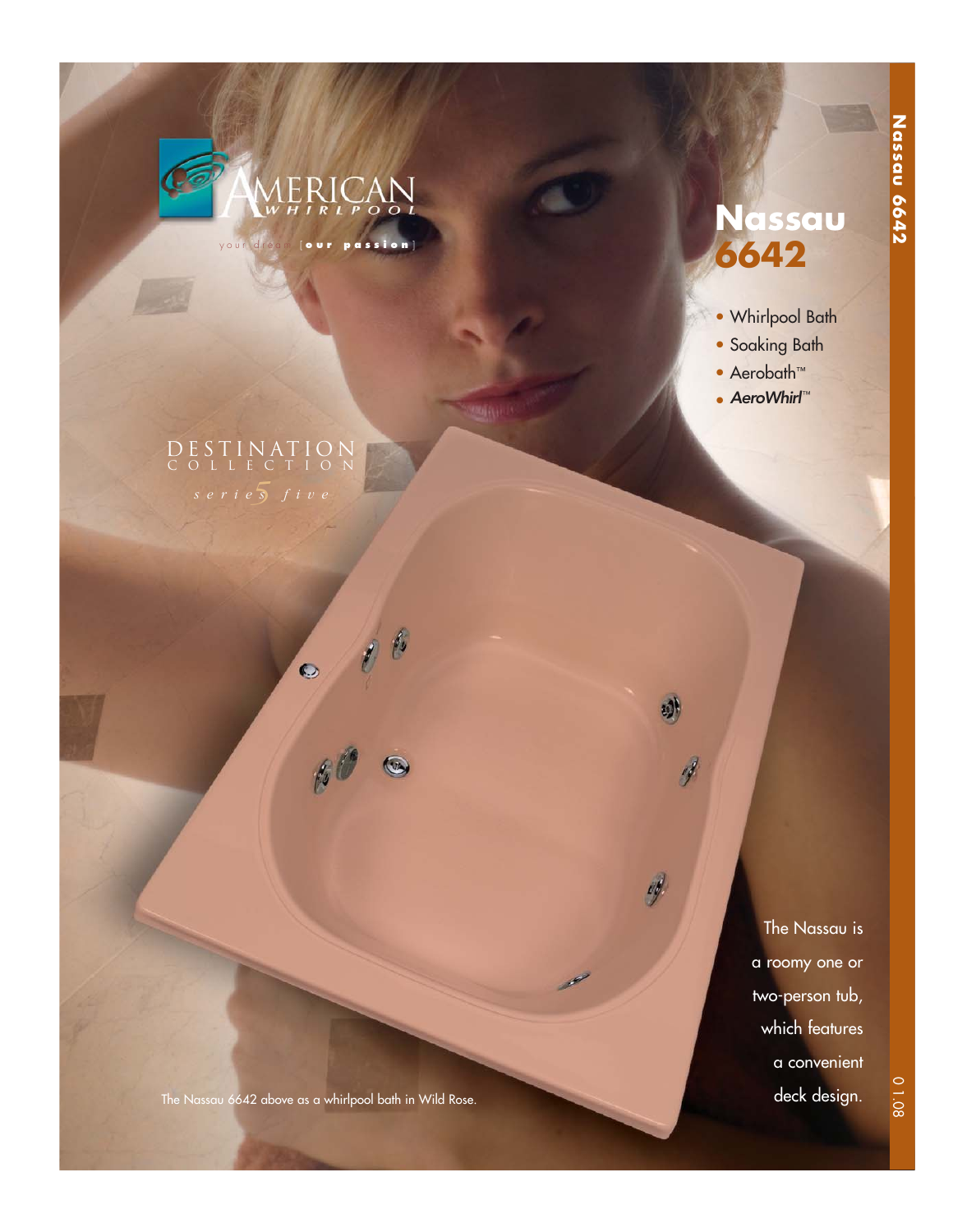

your dream [ **our passion** ]

 $\ell$ 

 $\bullet$ 

 $\beta$ 

## **Nassau 6642**

- Whirlpool Bath
- Soaking Bath
- Aerobath™
- AeroWhirl™

J

d

A

DESTINATION COLLECTION

The Nassau is a roomy one or two-person tub, which features a convenient deck design.

The Nassau 6642 above as a whirlpool bath in Wild Rose.